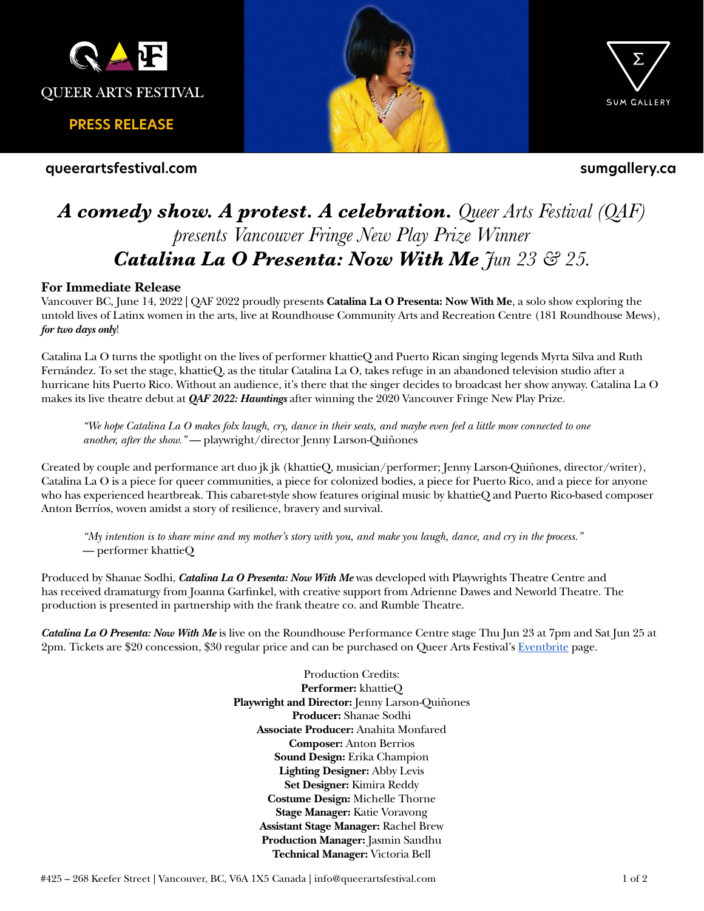

**PRESS RELEASE**

**queerartsfestival.com**





**sumgallery.ca**

# *A comedy show. A protest. A celebration. Queer Arts Festival (QAF) presents Vancouver Fringe New Play Prize Winner Catalina La O Presenta: Now With Me Jun 23 & 25.*

## **For Immediate Release**

Vancouver BC, June 14, 2022 **|** QAF 2022 proudly presents **Catalina La O Presenta: Now With Me**, a solo show exploring the untold lives of Latinx women in the arts, live at Roundhouse Community Arts and Recreation Centre (181 Roundhouse Mews), *for two days only*!

Catalina La O turns the spotlight on the lives of performer khattieQ and Puerto Rican singing legends Myrta Silva and Ruth Fernández. To set the stage, khattieQ, as the titular Catalina La O, takes refuge in an abandoned television studio after a hurricane hits Puerto Rico. Without an audience, it's there that the singer decides to broadcast her show anyway. Catalina La O makes its live theatre debut at *QAF 2022: Hauntings* after winning the 2020 Vancouver Fringe New Play Prize.

*"We hope Catalina La O makes folx laugh, cry, dance in their seats, and maybe even feel a little more connected to one another, after the show."* — playwright/director Jenny Larson-Quiñones

Created by couple and performance art duo jk jk (khattieQ, musician/performer; Jenny Larson-Quiñones, director/writer), Catalina La O is a piece for queer communities, a piece for colonized bodies, a piece for Puerto Rico, and a piece for anyone who has experienced heartbreak. This cabaret-style show features original music by khattieQ and Puerto Rico-based composer Anton Berríos, woven amidst a story of resilience, bravery and survival.

*"My intention is to share mine and my mother's story with you, and make you laugh, dance, and cry in the process."*  — performer khattieQ

Produced by Shanae Sodhi, *Catalina La O Presenta: Now With Me* was developed with Playwrights Theatre Centre and has received dramaturgy from Joanna Garfinkel, with creative support from Adrienne Dawes and Neworld Theatre. The production is presented in partnership with the frank theatre co. and Rumble Theatre.

*Catalina La O Presenta: Now With Me* is live on the Roundhouse Performance Centre stage Thu Jun 23 at 7pm and Sat Jun 25 at 2pm. Tickets are \$20 concession, \$30 regular price and can be purchased on Queer Arts Festival's [Eventbrite](https://www.eventbrite.ca/e/catalina-la-o-presenta-now-with-me-qaf-2022-tickets-345757137907?aff=ebdsoporgprofile) page.

> Production Credits: **Performer:** khattieQ **Playwright and Director:** Jenny Larson-Quiñones **Producer:** Shanae Sodhi **Associate Producer:** Anahita Monfared **Composer:** Anton Berrios **Sound Design:** Erika Champion **Lighting Designer:** Abby Levis **Set Designer:** Kimira Reddy **Costume Design:** Michelle Thorne **Stage Manager:** Katie Voravong **Assistant Stage Manager:** Rachel Brew **Production Manager:** Jasmin Sandhu **Technical Manager:** Victoria Bell